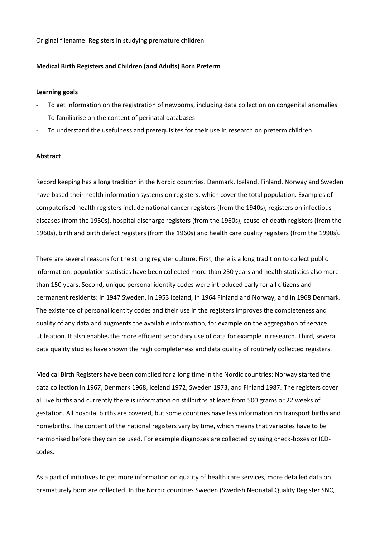Original filename: Registers in studying premature children

### **Medical Birth Registers and Children (and Adults) Born Preterm**

### **Learning goals**

- To get information on the registration of newborns, including data collection on congenital anomalies
- To familiarise on the content of perinatal databases
- To understand the usefulness and prerequisites for their use in research on preterm children

# **Abstract**

Record keeping has a long tradition in the Nordic countries. Denmark, Iceland, Finland, Norway and Sweden have based their health information systems on registers, which cover the total population. Examples of computerised health registers include national cancer registers (from the 1940s), registers on infectious diseases (from the 1950s), hospital discharge registers (from the 1960s), cause-of-death registers (from the 1960s), birth and birth defect registers (from the 1960s) and health care quality registers (from the 1990s).

There are several reasons for the strong register culture. First, there is a long tradition to collect public information: population statistics have been collected more than 250 years and health statistics also more than 150 years. Second, unique personal identity codes were introduced early for all citizens and permanent residents: in 1947 Sweden, in 1953 Iceland, in 1964 Finland and Norway, and in 1968 Denmark. The existence of personal identity codes and their use in the registers improves the completeness and quality of any data and augments the available information, for example on the aggregation of service utilisation. It also enables the more efficient secondary use of data for example in research. Third, several data quality studies have shown the high completeness and data quality of routinely collected registers.

Medical Birth Registers have been compiled for a long time in the Nordic countries: Norway started the data collection in 1967, Denmark 1968, Iceland 1972, Sweden 1973, and Finland 1987. The registers cover all live births and currently there is information on stillbirths at least from 500 grams or 22 weeks of gestation. All hospital births are covered, but some countries have less information on transport births and homebirths. The content of the national registers vary by time, which means that variables have to be harmonised before they can be used. For example diagnoses are collected by using check-boxes or ICDcodes.

As a part of initiatives to get more information on quality of health care services, more detailed data on prematurely born are collected. In the Nordic countries Sweden (Swedish Neonatal Quality Register SNQ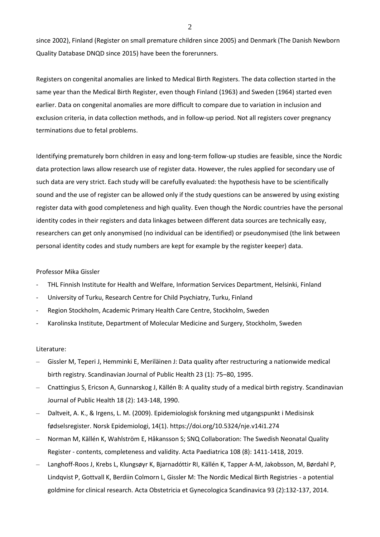since 2002), Finland (Register on small premature children since 2005) and Denmark (The Danish Newborn Quality Database DNQD since 2015) have been the forerunners.

Registers on congenital anomalies are linked to Medical Birth Registers. The data collection started in the same year than the Medical Birth Register, even though Finland (1963) and Sweden (1964) started even earlier. Data on congenital anomalies are more difficult to compare due to variation in inclusion and exclusion criteria, in data collection methods, and in follow-up period. Not all registers cover pregnancy terminations due to fetal problems.

Identifying prematurely born children in easy and long-term follow-up studies are feasible, since the Nordic data protection laws allow research use of register data. However, the rules applied for secondary use of such data are very strict. Each study will be carefully evaluated: the hypothesis have to be scientifically sound and the use of register can be allowed only if the study questions can be answered by using existing register data with good completeness and high quality. Even though the Nordic countries have the personal identity codes in their registers and data linkages between different data sources are technically easy, researchers can get only anonymised (no individual can be identified) or pseudonymised (the link between personal identity codes and study numbers are kept for example by the register keeper) data.

## Professor Mika Gissler

- THL Finnish Institute for Health and Welfare, Information Services Department, Helsinki, Finland
- University of Turku, Research Centre for Child Psychiatry, Turku, Finland
- Region Stockholm, Academic Primary Health Care Centre, Stockholm, Sweden
- Karolinska Institute, Department of Molecular Medicine and Surgery, Stockholm, Sweden

### Literature:

- Gissler M, Teperi J, Hemminki E, Meriläinen J: Data quality after restructuring a nationwide medical birth registry. Scandinavian Journal of Public Health 23 (1): 75–80, 1995.
- Cnattingius S, Ericson A, Gunnarskog J, Källén B: A quality study of a medical birth registry. Scandinavian Journal of Public Health 18 (2): 143-148, 1990.
- Daltveit, A. K., & Irgens, L. M. (2009). Epidemiologisk forskning med utgangspunkt i Medisinsk fødselsregister. Norsk Epidemiologi, 14(1). https://doi.org/10.5324/nje.v14i1.274
- Norman M, Källén K, Wahlström E, Håkansson S; SNQ Collaboration: The Swedish Neonatal Quality Register - contents, completeness and validity. Acta Paediatrica 108 (8): 1411-1418, 2019.
- Langhoff-Roos J, Krebs L, Klungsøyr K, Bjarnadóttir RI, Källén K, Tapper A-M, Jakobsson, M, Børdahl P, Lindqvist P, Gottvall K, Berdiin Colmorn L, Gissler M: The Nordic Medical Birth Registries - a potential goldmine for clinical research. Acta Obstetricia et Gynecologica Scandinavica 93 (2):132-137, 2014.

2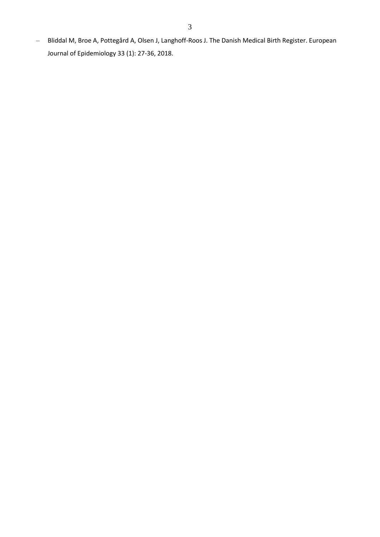– Bliddal M, Broe A, Pottegård A, Olsen J, Langhoff-Roos J. The Danish Medical Birth Register. European Journal of Epidemiology 33 (1): 27-36, 2018.